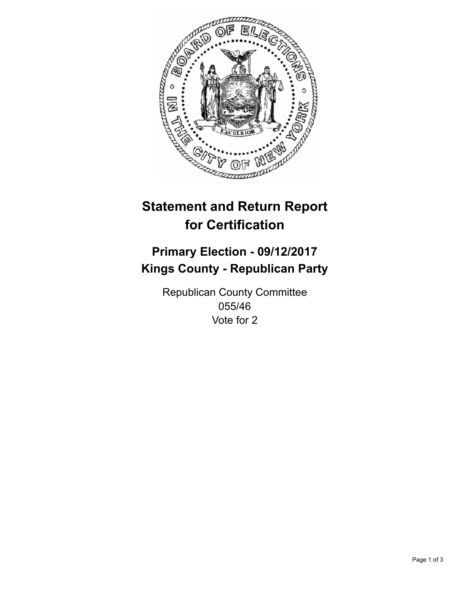

## **Statement and Return Report for Certification**

## **Primary Election - 09/12/2017 Kings County - Republican Party**

Republican County Committee 055/46 Vote for 2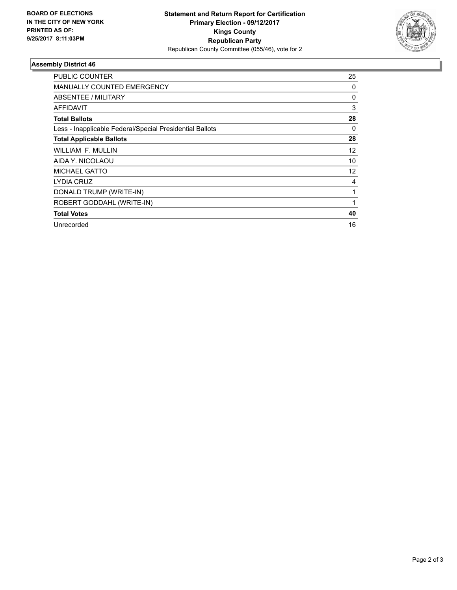

## **Assembly District 46**

| PUBLIC COUNTER                                           | 25 |
|----------------------------------------------------------|----|
| <b>MANUALLY COUNTED EMERGENCY</b>                        | 0  |
| ABSENTEE / MILITARY                                      | 0  |
| <b>AFFIDAVIT</b>                                         | 3  |
| <b>Total Ballots</b>                                     | 28 |
| Less - Inapplicable Federal/Special Presidential Ballots | 0  |
| <b>Total Applicable Ballots</b>                          | 28 |
| WILLIAM F. MULLIN                                        | 12 |
| AIDA Y. NICOLAOU                                         | 10 |
| <b>MICHAEL GATTO</b>                                     | 12 |
| LYDIA CRUZ                                               | 4  |
| DONALD TRUMP (WRITE-IN)                                  | 1  |
| ROBERT GODDAHL (WRITE-IN)                                | 1  |
| <b>Total Votes</b>                                       | 40 |
| Unrecorded                                               | 16 |